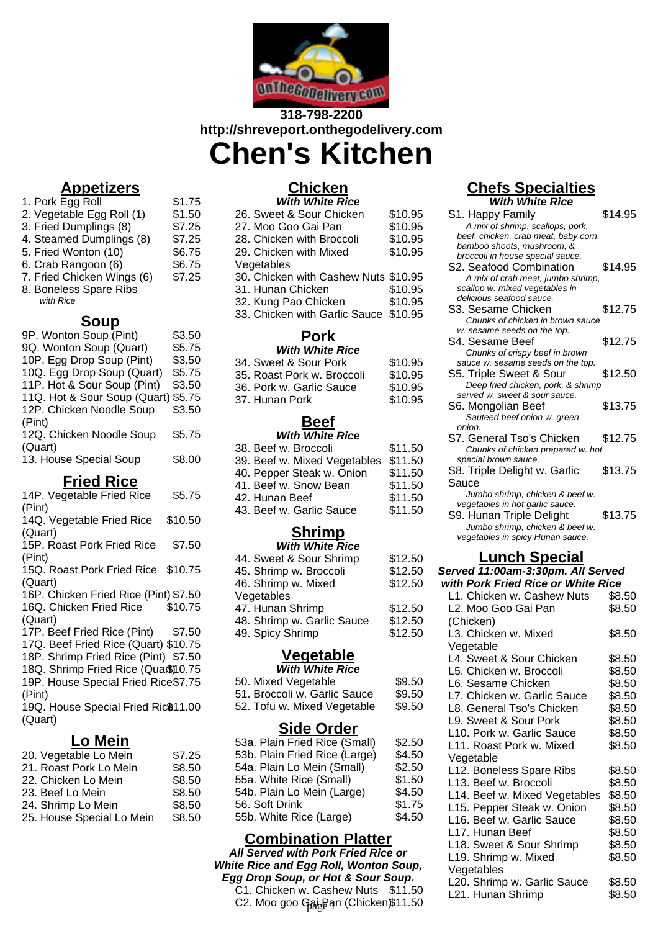

## **318-798-2200 http://shreveport.onthegodelivery.com Chen's Kitchen**

## **Appetizers**

- 1. Pork Egg Roll \$1.75 2. Vegetable Egg Roll (1) \$1.50
- 3. Fried Dumplings (8) \$7.25
- 4. Steamed Dumplings (8) \$7.25
- 5. Fried Wonton (10) \$6.75
- 6. Crab Rangoon (6) \$6.75
- 7. Fried Chicken Wings (6) \$7.25
- 8. Boneless Spare Ribs
- with Rice

### **Soup**

| 9P. Wonton Soup (Pint)              | \$3.50 |
|-------------------------------------|--------|
| 9Q. Wonton Soup (Quart)             | \$5.75 |
| 10P. Egg Drop Soup (Pint)           | \$3.50 |
| 10Q. Egg Drop Soup (Quart)          | \$5.75 |
| 11P. Hot & Sour Soup (Pint)         | \$3.50 |
| 11Q. Hot & Sour Soup (Quart) \$5.75 |        |
| 12P. Chicken Noodle Soup            | \$3.50 |
| (Pint)                              |        |
| 12Q. Chicken Noodle Soup            | \$5.75 |
| (Quart)                             |        |
| 13. House Special Soup              | \$8.00 |

### **Fried Rice**

| 14P. Vegetable Fried Rice                       | \$5.75  |
|-------------------------------------------------|---------|
| (Pint)                                          |         |
| 14Q. Vegetable Fried Rice                       | \$10.50 |
| (Quart)                                         |         |
| 15P. Roast Pork Fried Rice                      | \$7.50  |
| (Pint)                                          |         |
| 15Q. Roast Pork Fried Rice \$10.75              |         |
| (Quart)                                         |         |
| 16P. Chicken Fried Rice (Pint) \$7.50           |         |
| 16Q. Chicken Fried Rice \$10.75                 |         |
| (Quart)                                         |         |
| 17P. Beef Fried Rice (Pint) \$7.50              |         |
| 17Q. Beef Fried Rice (Quart) \$10.75            |         |
| 18P. Shrimp Fried Rice (Pint) \$7.50            |         |
| 18Q. Shrimp Fried Rice (Qua\$)10.75             |         |
| 19P. House Special Fried Rice\$7.75             |         |
| (Pint)                                          |         |
| 19Q. House Special Fried Ric <sup>\$11.00</sup> |         |
| (Quart)                                         |         |
|                                                 |         |

### **Lo Mein**

| 20. Vegetable Lo Mein     | \$7.25 |
|---------------------------|--------|
| 21. Roast Pork Lo Mein    | \$8.50 |
| 22. Chicken Lo Mein       | \$8.50 |
| 23. Beef Lo Mein          | \$8.50 |
| 24. Shrimp Lo Mein        | \$8.50 |
| 25. House Special Lo Mein | \$8.50 |

#### **Chicken With White Rice**

| wuu wuue Rice                         |         |
|---------------------------------------|---------|
| 26. Sweet & Sour Chicken              | \$10.95 |
| 27. Moo Goo Gai Pan                   | \$10.95 |
| 28. Chicken with Broccoli             | \$10.95 |
| 29. Chicken with Mixed                | \$10.95 |
| Vegetables                            |         |
| 30. Chicken with Cashew Nuts \$10.95  |         |
| 31. Hunan Chicken                     | \$10.95 |
| 32. Kung Pao Chicken                  | \$10.95 |
| 33. Chicken with Garlic Sauce \$10.95 |         |
|                                       |         |

#### **Pork With White Rice**

| ,,,,,,,,,,,,,,,,,,,,       |         |
|----------------------------|---------|
| 34. Sweet & Sour Pork      | \$10.95 |
| 35. Roast Pork w. Broccoli | \$10.95 |
| 36. Pork w. Garlic Sauce   | \$10.95 |
| 37. Hunan Pork             | \$10.95 |

### **Beef**

### **With White Rice**

| 38. Beef w. Broccoli         | \$11.50 |
|------------------------------|---------|
| 39. Beef w. Mixed Vegetables | \$11.50 |
| 40. Pepper Steak w. Onion    | \$11.50 |
| 41. Beef w. Snow Bean        | \$11.50 |
| 42. Hunan Beef               | \$11.50 |
| 43. Beef w. Garlic Sauce     | \$11.50 |
|                              |         |

#### **Shrimp With White Rice**

| 44. Sweet & Sour Shrimp<br>45. Shrimp w. Broccoli<br>46. Shrimp w. Mixed<br>Vegetables | \$12.50<br>\$12.50<br>\$12.50 |
|----------------------------------------------------------------------------------------|-------------------------------|
| 47. Hunan Shrimp                                                                       | \$12.50                       |
| 48. Shrimp w. Garlic Sauce                                                             | \$12.50                       |
| 49. Spicy Shrimp                                                                       | \$12.50                       |

# **Vegetable**

| <b>With White Rice</b>       |        |
|------------------------------|--------|
| 50. Mixed Vegetable          | \$9.50 |
| 51. Broccoli w. Garlic Sauce | \$9.50 |
| 52. Tofu w. Mixed Vegetable  | \$9.50 |

### **Side Order**

| 53a. Plain Fried Rice (Small) | \$2.50 |
|-------------------------------|--------|
| 53b. Plain Fried Rice (Large) | \$4.50 |
| 54a. Plain Lo Mein (Small)    | \$2.50 |
| 55a. White Rice (Small)       | \$1.50 |
| 54b. Plain Lo Mein (Large)    | \$4.50 |
| 56. Soft Drink                | \$1.75 |
| 55b. White Rice (Large)       | \$4.50 |

### **Combination Platter**

**All Served with Pork Fried Rice or White Rice and Egg Roll, Wonton Soup, Egg Drop Soup, or Hot & Sour Soup.**

C1. Chicken w. Cashew Nuts \$11.50 C2. Moo goo Gai<sub>s</sub>Ban (Chicken)\$11.50

# **Chefs Specialties**

**With White Rice** S1. Happy Family \$14.95 A mix of shrimp, scallops, pork, beef, chicken, crab meat, baby corn, bamboo shoots, mushroom, & broccoli in house special sauce. S2. Seafood Combination \$14.95 A mix of crab meat, jumbo shrimp, scallop w. mixed vegetables in delicious seafood sauce. S3. Sesame Chicken \$12.75 Chunks of chicken in brown sauce w. sesame seeds on the top. S4. Sesame Beef \$12.75 Chunks of crispy beef in brown sauce w. sesame seeds on the top. S5. Triple Sweet & Sour \$12.50 Deep fried chicken, pork, & shrimp served w. sweet & sour sauce. S6. Mongolian Beef \$13.75 Sauteed beef onion w. green onion. S7. General Tso's Chicken \$12.75 Chunks of chicken prepared w. hot special brown sauce. S8. Triple Delight w. Garlic Sauce \$13.75 Jumbo shrimp, chicken & beef w. vegetables in hot garlic sauce. S9. Hunan Triple Delight \$13.75 Jumbo shrimp, chicken & beef w. vegetables in spicy Hunan sauce.

### **Lunch Special**

| Served 11:00am-3:30pm. All Served  |        |
|------------------------------------|--------|
| with Pork Fried Rice or White Rice |        |
| L1. Chicken w. Cashew Nuts         | \$8.50 |
| L2. Moo Goo Gai Pan                | \$8.50 |
| (Chicken)                          |        |
| L3. Chicken w. Mixed               | \$8.50 |
| Vegetable                          |        |
| L4. Sweet & Sour Chicken           | \$8.50 |
| L5. Chicken w. Broccoli            | \$8.50 |
| L6. Sesame Chicken                 | \$8.50 |
| L7. Chicken w. Garlic Sauce        | \$8.50 |
| L8. General Tso's Chicken          | \$8.50 |
| L9. Sweet & Sour Pork              | \$8.50 |
| L10. Pork w. Garlic Sauce          | \$8.50 |
| L11, Roast Pork w. Mixed           | \$8.50 |
| Vegetable                          |        |
| L12. Boneless Spare Ribs           | \$8.50 |
| L13. Beef w. Broccoli              | \$8.50 |
| L14. Beef w. Mixed Vegetables      | \$8.50 |
| L15. Pepper Steak w. Onion         | \$8.50 |
| L16. Beef w. Garlic Sauce          | \$8.50 |
| L17. Hunan Beef                    | \$8.50 |
| L18. Sweet & Sour Shrimp           | \$8.50 |
| L19. Shrimp w. Mixed               | \$8.50 |
| Vegetables                         |        |
| L20. Shrimp w. Garlic Sauce        | \$8.50 |
| L21. Hunan Shrimp                  | \$8.50 |
|                                    |        |
|                                    |        |